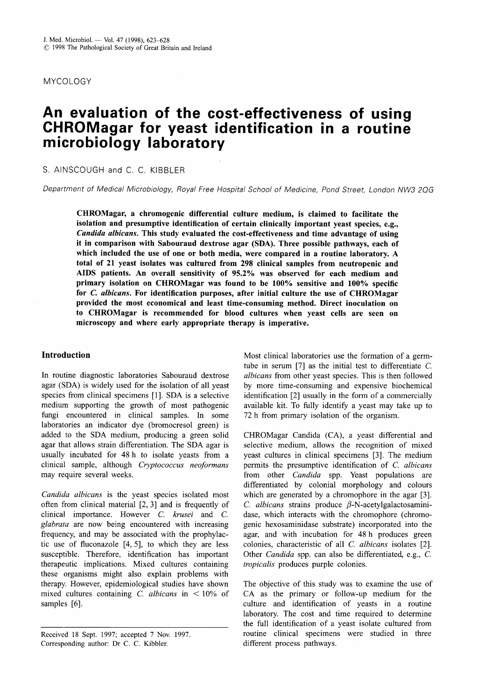MYCOLOGY

# **An evaluation of the cost-effectiveness of using CHROMagar for yeast identification in a routine microbiology laboratory**

S. AINSCOUGH and C. C. KIBBLER

*Department of Medical Microbiology, Royal Free Hospital School of Medicine, Pond Street, London NW3 2QG* 

**CHROMagar, a chromogenic differential culture medium, is claimed to facilitate the isolation and presumptive identification of certain clinically important yeast species, e.g.,**  *Candida albicans.* **This study evaluated the cost-effectiveness and time advantage of using it in comparison with Sabouraud dextrose agar (SDA). Three possible pathways, each of which included the use of one or both media, were compared in a routine laboratory. A total of 21 yeast isolates was cultured from 298 clinical samples from neutropenic and AIDS patients. An overall sensitivity of 95.2% was observed for each medium and primary isolation on CHROMagar was found to be 100% sensitive and 100% specific for C.** *albicans.* **For identification purposes, after initial culture the use of CHROMagar provided the most economical and least time-consuming method. Direct inoculation on to CHROMagar is recommended for blood cultures when yeast cells are seen on microscopy and where early appropriate therapy is imperative.** 

# **Introduction**

In routine diagnostic laboratories Sabouraud dextrose agar (SDA) is widely used for the isolation of all yeast species from clinical specimens [l]. SDA is a selective medium supporting the growth of most pathogenic fungi encountered in clinical samples. In some laboratories an indicator dye (bromocresol green) is added to the SDA medium, producing a green solid agar that allows strain differentiation. The SDA agar is usually incubated for 48 h to isolate yeasts from a clinical sample, although *Cryptococcus neoformans*  may require several weeks.

*Candida albicans* is the yeast species isolated most often from clinical material [2, **31** and is frequently of clinical importance. However C. *krusei* and *C. glabrata* are now being encountered with increasing frequency, and may be associated with the prophylactic use of fluconazole  $[4, 5]$ , to which they are less susceptible. Therefore, identification has important therapeutic implications. Mixed cultures containing these organisms might also explain problems with therapy. However, epidemiological studies have shown mixed cultures containing C. *albicans* in < 10% of samples [6].

Most clinical laboratories use the formation of a germtube in serum [7] as the initial test to differentiate C. *albicans* from other yeast species. This is then followed by more time-consuming and expensive biochemical identification [2] usually in the form of a commercially available kit. To fully identify a yeast may take up to 72 h from primary isolation of the organism.

CHROMagar Candida (CA), a yeast differential and selective medium, allows the recognition of mixed yeast cultures in clinical specimens [3]. The medium permits the presumptive identification of C. *albicans*  from other *Candida* spp. Yeast populations are differentiated by colonial morphology and colours which are generated by a chromophore in the agar **[3].**  C. *albicans* strains produce  $\beta$ -N-acetylgalactosaminidase, which interacts with the chromophore (chromogenic hexosaminidase substrate) incorporated into the agar, and with incubation for 48 h produces green colonies, characteristic of all C. *albicans* isolates [2]. Other *Candida* spp. can also be differentiated, e.g., C. *tropicalis* produces purple colonies.

The objective of this study was to examine the use of CA as the primary or follow-up medium for the culture and identification of yeasts in a routine laboratory. The cost and time required to determine the full identification of a yeast isolate cultured from routine clinical specimens were studied in three different process pathways.

Received 18 Sept. 1997; accepted 7 Nov. 1997 Corresponding author: Dr C. C. Kibbler.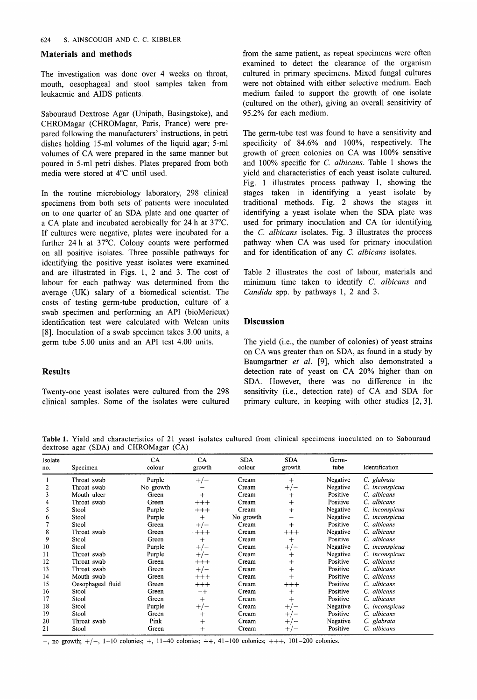### **Materials and methods**

The investigation was done over 4 weeks on throat, mouth, oesophageal and stool samples taken from leukaemic and AIDS patients.

Sabouraud Dextrose Agar (Unipath, Basingstoke), and CHROMagar (CHROMagar, Paris, France) were prepared following the manufacturers' instructions, in petri dishes holding 15-ml volumes of the liquid agar; 5-ml volumes of CA were prepared in the same manner but poured in 5-ml petri dishes. Plates prepared from both media were stored at 4°C until used.

In the routine microbiology laboratory, 298 clinical specimens from both sets of patients were inoculated on to one quarter of an SDA plate and one quarter of a CA plate and incubated aerobically for 24 h at 37°C. If cultures were negative, plates were incubated for a further 24 h at 37°C. Colony counts were performed on all positive isolates. Three possible pathways for identifying the positive yeast isolates were examined and are illustrated in Figs. 1, 2 and 3. The cost of labour for each pathway was determined from the average (UK) salary of a biomedical scientist. The costs of testing germ-tube production, culture of a swab specimen and performing an API (bioMerieux) identification test were calculated with Welcan units [8]. Inoculation of a swab specimen takes 3.00 units, a germ tube 5.00 units and an API test 4.00 units.

# **Results**

Twenty-one yeast isolates were cultured from the 298 clinical samples. Some of the isolates were cultured from the same patient, as repeat specimens were often examined to detect the clearance of the organism cultured in primary specimens. Mixed fungal cultures were not obtained with either selective medium. Each medium failed to support the growth of one isolate (cultured on the other), giving an overall sensitivity of 95.2% for each medium.

The germ-tube test was found to have a sensitivity and specificity of  $84.6\%$  and  $100\%$ , respectively. The growth of green colonies on CA was 100% sensitive and 100% specific for C. *albicans.* Table 1 shows the yield and characteristics of each yeast isolate cultured. Fig. 1 illustrates process pathway 1, showing the stages taken in identifying a yeast isolate by traditional methods. Fig. 2 shows the stages in identifying a yeast isolate when the SDA plate was used for primary inoculation and CA for identifying the C. *albicans* isolates. Fig. 3 illustrates the process pathway when CA was used for primary inoculation and for identification of any C. *albicans* isolates.

Table 2 illustrates the cost of labour, materials and minimum time taken to identify C. *albicans* and *Candida* spp. by pathways 1, 2 and 3.

#### **Discussion**

The yield (i.e., the number of colonies) of yeast strains on CA was greater than on SDA, as found in a study by Baumgartner *et al.* [9], which also demonstrated a detection rate of yeast on CA 20% higher than on SDA. However, there was no difference in the sensitivity (i.e., detection rate) of CA and SDA for primary culture, in keeping with other studies [2,3].

**Table 1.** Yield and characteristics of 21 yeast isolates cultured from clinical specimens inoculated on to Sabouraud dextrose agar (SDA) and CHROMagar (CA)

| Isolate<br>no. | Specimen          | <b>CA</b><br>colour | CA<br>growth       | <b>SDA</b><br>colour | <b>SDA</b><br>growth | Germ-<br>tube | Identification |
|----------------|-------------------|---------------------|--------------------|----------------------|----------------------|---------------|----------------|
|                | Throat swab       | Purple              | $+/-$              | Cream                | $^{+}$               | Negative      | C. glabrata    |
| 2              | Throat swab       | No growth           |                    | Cream                | $+/-$                | Negative      | C. inconspicua |
| 3              | Mouth ulcer       | Green               | $^{+}$             | Cream                | $\hspace{0.1mm} +$   | Positive      | C. albicans    |
| 4              | Throat swab       | Green               | $+++$              | Cream                | $^{+}$               | Positive      | C. albicans    |
| 5              | Stool             | Purple              | $+++$              | Cream                | $^{+}$               | Negative      | C. inconspicua |
| 6              | Stool             | Purple              | $^{+}$             | No growth            |                      | Negative      | C. inconspicua |
|                | Stool             | Green               | $+/-$              | Cream                | $^{+}$               | Positive      | C. albicans    |
| 8              | Throat swab       | Green               | $- + + +$          | Cream                | $^{+++}$             | Negative      | C. albicans    |
| 9              | Stool             | Green               | $^+$               | Cream                | $\mathrm{+}$         | Positive      | C. albicans    |
| 10             | Stool             | Purple              | $+/-$              | Cream                | $+/-$                | Negative      | C. inconspicua |
| 11             | Throat swab       | Purple              | $+$<br>' —         | Cream                | $\hspace{0.1mm} +$   | Negative      | C. inconspicua |
| 12             | Throat swab       | Green               | $+++$              | Cream                | $\pm$                | Positive      | C. albicans    |
| 13             | Throat swab       | Green               | $+/-$              | Cream                | $^{+}$               | Positive      | C. albicans    |
| 14             | Mouth swab        | Green               | $+++$              | Cream                | $^{+}$               | Positive      | C. albicans    |
| 15             | Oesophageal fluid | Green               | $+++$              | Cream                | $^{+++}$             | Positive      | C. albicans    |
| 16             | Stool             | Green               | $^{++}$            | Cream                | $^{+}$               | Positive      | C. albicans    |
| 17             | Stool             | Green               | $^{+}$             | Cream                |                      | Positive      | C. albicans    |
| 18             | Stool             | Purple              | $+1$<br>' —        | Cream                | $+$<br>/ —           | Negative      | C. inconspicua |
| 19             | Stool             | Green               | $\hspace{0.1mm} +$ | Cream                | $+/-$                | Positive      | C. albicans    |
| 20             | Throat swab       | Pink                | $^{+}$             | Cream                | $+/-$                | Negative      | C. glabrata    |
| 21             | Stool             | Green               | $\ddot{}$          | Cream                | $+/-$                | Positive      | C. albicans    |

 $-$ , no growth;  $+/-$ , 1-10 colonies;  $+$ , 11-40 colonies;  $++$ , 41-100 colonies;  $++$ , 101-200 colonies.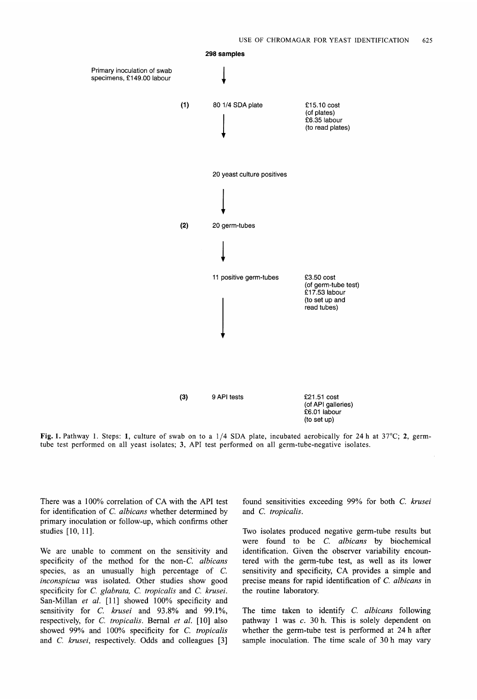

**Fig. 1.** Pathway 1. Steps: **1,** culture of swab on to a 1/4 **SDA** plate, incubated aerobically for **24** h at 37°C; **2,** germtube test performed on all yeast isolates; **3, API** test performed on all germ-tube-negative isolates.

There was a 100% correlation of **CA** with the **API** test for identification of C. *albicans* whether determined by primary inoculation or follow-up, which confirms other studies [10, 11].

We are unable to comment on the sensitivity and specificity of the method for the non-C. *albicans*  species, as an unusually high percentage of C. *inconspicua* was isolated. Other studies show good specificity for C. *glabrata,* C. *tropicalis* and *C. krusei.*  San-Millan *et al.* [11] showed 100% specificity and sensitivity for C. *krusei* and 93.8% and 99.1%, respectively, for C. *tropicalis.* Bernal *et al.* [lo] also showed 99% and 100% specificity for C. *tropicalis*  and *C. krusei,* respectively. Odds and colleagues [3] found sensitivities exceeding 99% for both C, *krusei*  and *C. tropicalis.* 

Two isolates produced negative germ-tube results but were found to be C. *albicans* by biochemical identification. Given the observer variability encountered with the germ-tube test, as well as its lower sensitivity and specificity, **CA** provides a simple and precise means for rapid identification of C. *albicans* in the routine laboratory.

The time taken to identify C. *albicans* following pathway 1 was  $c$ . 30 h. This is solely dependent on whether the germ-tube test is performed at 24 h after sample inoculation. The time scale of 30 h may vary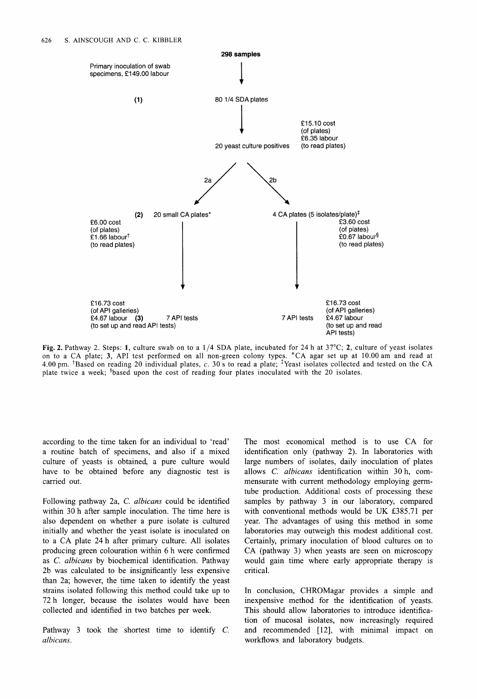

**Fig. 2.** Pathway 2. Steps: **1,** culture swab on to a **1/4** SDA plate, incubated for **24** h at 37°C; **2,** culture of yeast isolates on to a **CA** plate; **3,** API test performed on all non-green colony type:. \*CA agar set up at 10.00 am and read at 4.00 pm. <sup>+</sup>Based on reading 20 individual plates, c. 30 s to read a plate;  $\frac{1}{4}$ Yeast isolates collected and tested on the CA plate twice a week; <sup>§</sup>based upon the cost of reading four plates inoculated with the 20 isolates.

according to the time taken for an individual to 'read' a routine batch of specimens, and also if a mixed culture of yeasts is obtained, a pure culture would have to be obtained before any diagnostic test is carried out.

Following pathway 2a, C. *albicans* could be identified within 30 h after sample inoculation. The time here is also dependent on whether a pure isolate is cultured initially and whether the yeast isolate is inoculated on to a CA plate 24 h after primary culture. All isolates producing green colouration within 6 h were confirmed as C. *albicans* by biochemical identification. Pathway 2b was calculated to be insignificantly less expensive than 2a; however, the time taken to identify the yeast strains isolated following this method could take up to 72 h longer, because the isolates would have been collected and identified in two batches per week.

Pathway 3 took the shortest time to identify C. *albicans* .

The most economical method is to use CA for identification only (pathway 2). In laboratories with large numbers of isolates, daily inoculation of plates allows C. *albicans* identification within 30 h, commensurate with current methodology employing germtube production. Additional costs of processing these samples by pathway 3 in our laboratory, compared with conventional methods would be UK E385.71 per year. The advantages of using this method in some laboratories may outweigh this modest additional cost. Certainly, primary inoculation of blood cultures on to CA (pathway 3) when yeasts are seen on microscopy would gain time where early appropriate therapy is critical.

In conclusion, CHROMagar provides a simple and inexpensive method for the identification of yeasts. This should allow laboratories to introduce identification of mucosal isolates, now increasingly required and recommended [12], with minimal impact on workflows and laboratory budgets.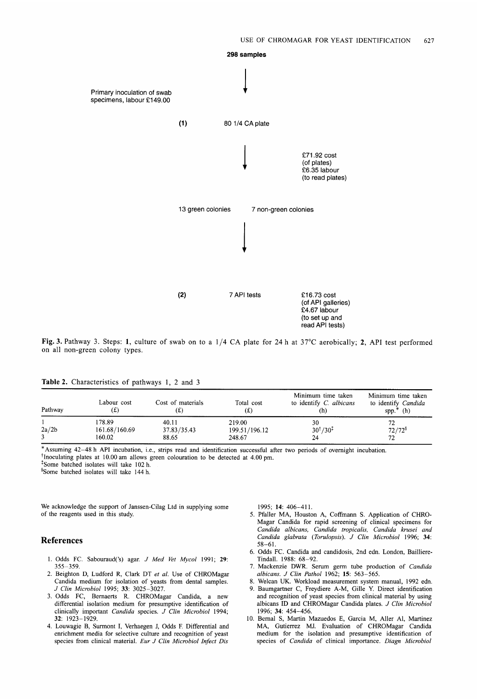

**Fig. 3.** Pathway *3.* Steps: **1,** culture of swab on to a **1/4** CA plate for 24 h at 37°C aerobically; **2,** API test performed on all non-green colony types.

#### **Table 2.** Characteristics of pathways 1, 2 and *3*

| Pathway | Labour cost<br>(£)                | Cost of materials<br>(£       | Total cost<br>(£)                 | Minimum time taken<br>to identify C. albicans<br>(n) | Minimum time taken<br>to identify Candida<br>$spp.*$ (h) |
|---------|-----------------------------------|-------------------------------|-----------------------------------|------------------------------------------------------|----------------------------------------------------------|
| 2a/2b   | 178.89<br>161.68/160.69<br>160.02 | 40.11<br>37.83/35.43<br>88.65 | 219.00<br>199.51/196.12<br>248.67 | 30<br>$30^{†}/30^{1}$<br>24                          | $72/72^8$<br>72.                                         |

\*Assuming 42-48 h API incubation, i.e., strips read and identification successful after two periods of overnight incubation.

+Inoculating plates at 10.00 am allows green colouration to be detected at 4.00 pm.

?3ome batched isolates will take 102 h.

§Some batched isolates will take 144 h.

We acknowledge the support of Janssen-Cilag Ltd in supplying some of the reagents used in this study.

#### **References**

- 1. Odds FC. Sabouraud('s) agar. *J Med Vet Mycol* 1991; **29:**  355-359.
- 2. Beighton D, Ludford R, Clark DT *et al.* Use of CHROMagar Candida medium for isolation of yeasts from dental samples. *J Clin Microbiol* 1995; **33:** 3025-3027.
- 3. Odds FC, Bernaerts R. CHROMagar Candida, a new differential isolation medium for presumptive identification of clinically important *Candida* species. *J CIin Microbiol* 1994; **32:** 1923-1929.
- 4. Louwagie B, Surmont I, Verhaegen J, Odds F. Differential and enrichment media for selective culture and recognition of yeast species from clinical material. *Eur J Clin Microbiol Infect Dis*

1995; **14:** 406-411.

- 5. Pfaller MA, Houston A, Coffmann **S.** Application of CHRO-Magar Candida for rapid screening of clinical specimens for *Candida albicans, Candida tropicalis, Candida krusei and Candida glabrata (Torulopsis). J Clin Microbiol* 1996; **34:**  58-61.
- 6. Odds FC. Candida and candidosis, 2nd edn. London, Bailliere-Tindall. 1988: 68-92.
- 7. Mackenzie DWR. Serum germ tube production of *Candida albicans. J Clin Pathol* 1962; **15:** 563-565.
- 8. Welcan UK. Workload measurement system manual, 1992 edn.
- 9. Baumgartner C, Freydiere A-M, Gille Y. Direct identification and recognition of yeast species from clinical material by using albicans ID and CHROMagar Candida plates. *J Clin Microbiol*  1996; **34:** 454-456.
- 10. Bernal **S,** Martin Mazuedos E, Garcia M, Aller Al, Martinez MA, Gutierrez MJ. Evaluation of CHROMagar Candida medium for the isolation and presumptive identification of species of *Candida* of clinical importance. *Diagn Microbiol*